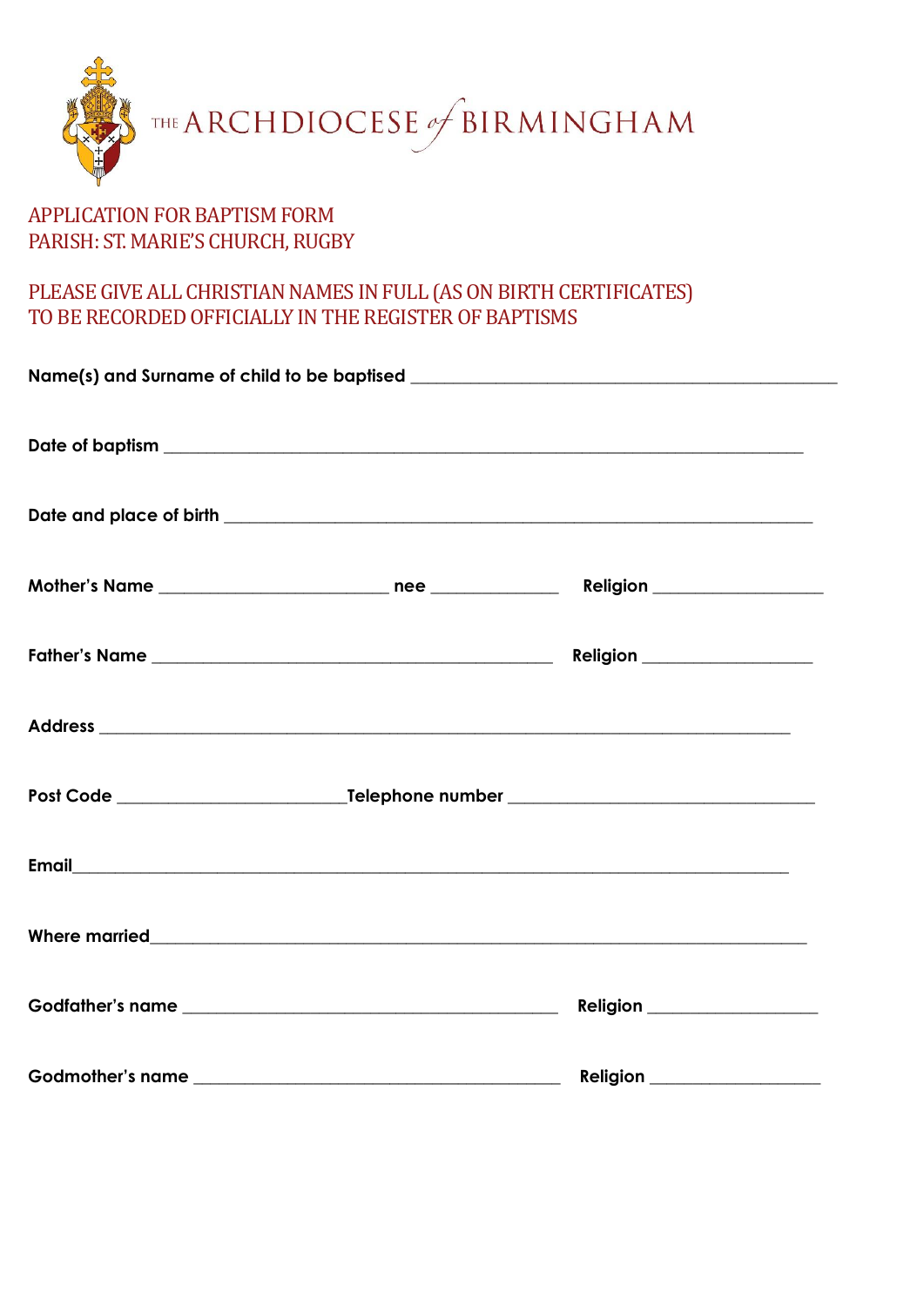

## APPLICATION FOR BAPTISM FORM PARISH: ST. MARIE'S CHURCH, RUGBY

## PLEASE GIVE ALL CHRISTIAN NAMES IN FULL (AS ON BIRTH CERTIFICATES) TO BE RECORDED OFFICIALLY IN THE REGISTER OF BAPTISMS

|                                                                                                                                                                                                                                     | <b>Religion _____________________</b> |  |
|-------------------------------------------------------------------------------------------------------------------------------------------------------------------------------------------------------------------------------------|---------------------------------------|--|
|                                                                                                                                                                                                                                     |                                       |  |
|                                                                                                                                                                                                                                     |                                       |  |
|                                                                                                                                                                                                                                     |                                       |  |
| Where married <b>William Community and Community</b> and Community and Community and Community and Community and Community and Community and Community and Community and Community and Community and Community and Community and Co |                                       |  |
|                                                                                                                                                                                                                                     | <b>Religion _____________________</b> |  |
|                                                                                                                                                                                                                                     |                                       |  |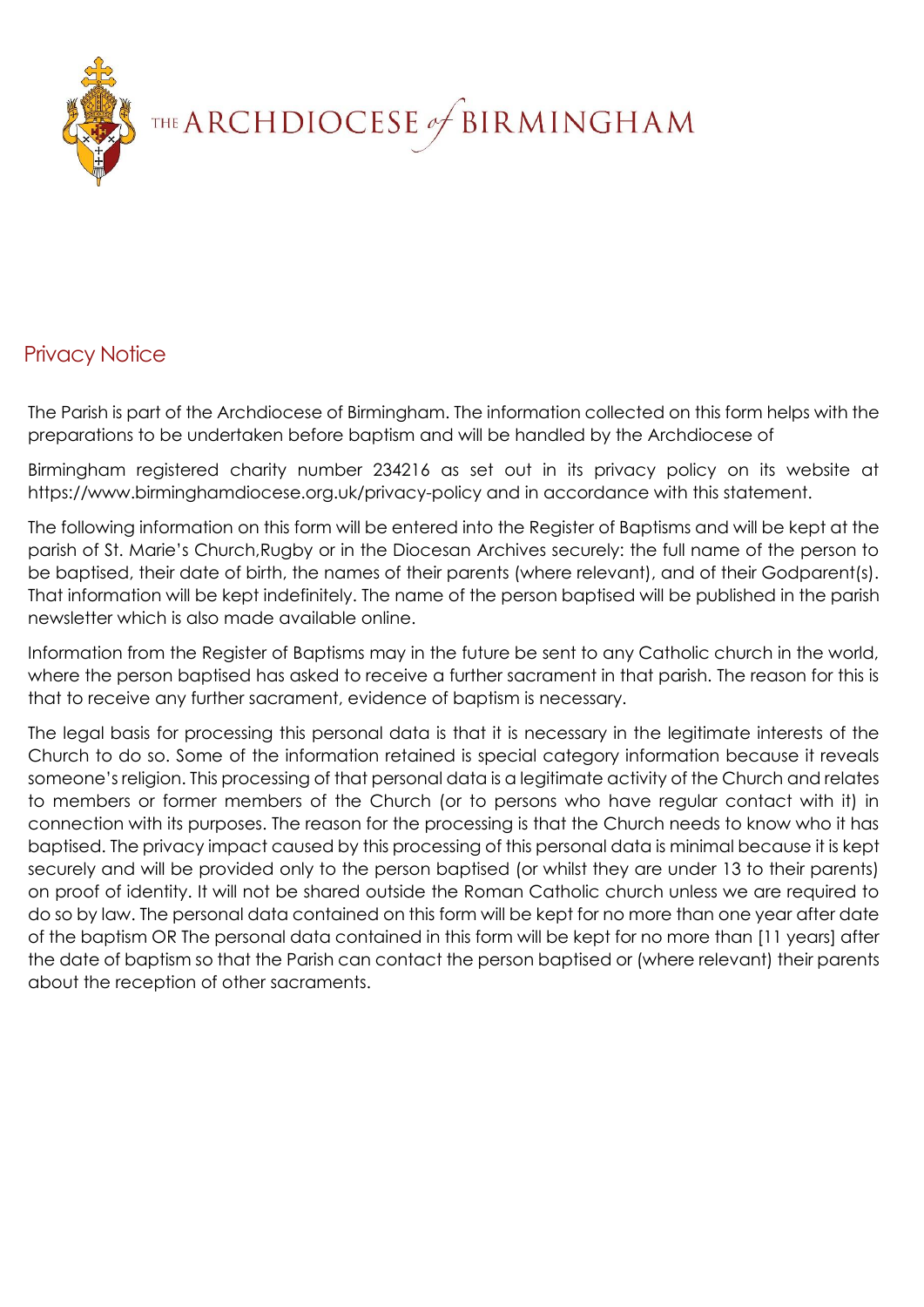

## Privacy Notice

The Parish is part of the Archdiocese of Birmingham. The information collected on this form helps with the preparations to be undertaken before baptism and will be handled by the Archdiocese of

Birmingham registered charity number 234216 as set out in its privacy policy on its website at https://www.birminghamdiocese.org.uk/privacy-policy and in accordance with this statement.

The following information on this form will be entered into the Register of Baptisms and will be kept at the parish of St. Marie's Church,Rugby or in the Diocesan Archives securely: the full name of the person to be baptised, their date of birth, the names of their parents (where relevant), and of their Godparent(s). That information will be kept indefinitely. The name of the person baptised will be published in the parish newsletter which is also made available online.

Information from the Register of Baptisms may in the future be sent to any Catholic church in the world, where the person baptised has asked to receive a further sacrament in that parish. The reason for this is that to receive any further sacrament, evidence of baptism is necessary.

The legal basis for processing this personal data is that it is necessary in the legitimate interests of the Church to do so. Some of the information retained is special category information because it reveals someone's religion. This processing of that personal data is a legitimate activity of the Church and relates to members or former members of the Church (or to persons who have regular contact with it) in connection with its purposes. The reason for the processing is that the Church needs to know who it has baptised. The privacy impact caused by this processing of this personal data is minimal because it is kept securely and will be provided only to the person baptised (or whilst they are under 13 to their parents) on proof of identity. It will not be shared outside the Roman Catholic church unless we are required to do so by law. The personal data contained on this form will be kept for no more than one year after date of the baptism OR The personal data contained in this form will be kept for no more than [11 years] after the date of baptism so that the Parish can contact the person baptised or (where relevant) their parents about the reception of other sacraments.